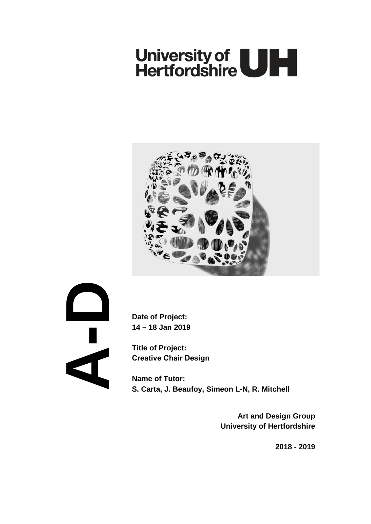# University of **ULL**



**A- D**

**Date of Project: 14 – 18 Jan 2019**

**Title of Project: Creative Chair Design**

**Name of Tutor: S. Carta, J. Beaufoy, Simeon L-N, R. Mitchell**

> **Art and Design Group University of Hertfordshire**

> > **2018 - 2019**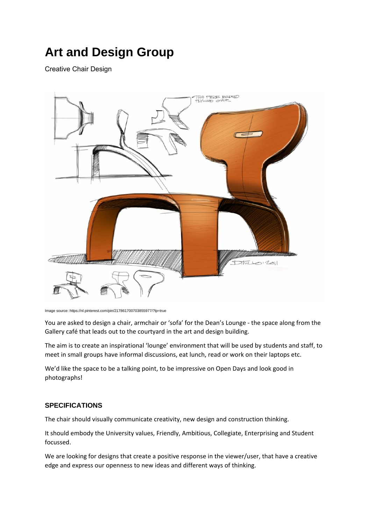## **Art and Design Group**

Creative Chair Design



Image source: https://nl.pinterest.com/pin/217861700703855977/?lp=true

You are asked to design a chair, armchair or 'sofa' for the Dean's Lounge - the space along from the Gallery café that leads out to the courtyard in the art and design building.

The aim is to create an inspirational 'lounge' environment that will be used by students and staff, to meet in small groups have informal discussions, eat lunch, read or work on their laptops etc.

We'd like the space to be a talking point, to be impressive on Open Days and look good in photographs!

### **SPECIFICATIONS**

The chair should visually communicate creativity, new design and construction thinking.

It should embody the University values, Friendly, Ambitious, Collegiate, Enterprising and Student focussed.

We are looking for designs that create a positive response in the viewer/user, that have a creative edge and express our openness to new ideas and different ways of thinking.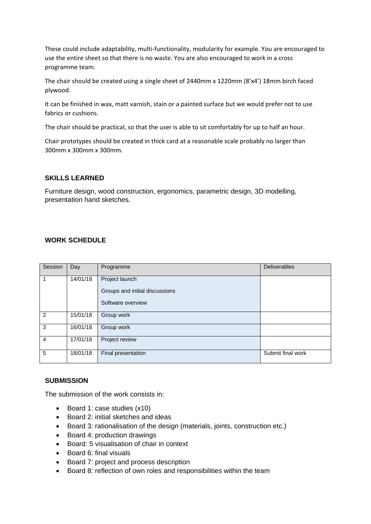These could include adaptability, multi-functionality, modularity for example. You are encouraged to use the entire sheet so that there is no waste. You are also encouraged to work in a cross programme team.

The chair should be created using a single sheet of 2440mm x 1220mm (8'x4') 18mm birch faced plywood.

It can be finished in wax, matt varnish, stain or a painted surface but we would prefer not to use fabrics or cushions.

The chair should be practical, so that the user is able to sit comfortably for up to half an hour.

Chair prototypes should be created in thick card at a reasonable scale probably no larger than 300mm x 300mm x 300mm.

#### **SKILLS LEARNED**

Furniture design, wood construction, ergonomics, parametric design, 3D modelling, presentation hand sketches.

#### **WORK SCHEDULE**

| Session        | Day      | Programme                                           | <b>Deliverables</b> |
|----------------|----------|-----------------------------------------------------|---------------------|
| 1              | 14/01/18 | Project launch                                      |                     |
|                |          | Groups and initial discussions<br>Software overview |                     |
|                |          |                                                     |                     |
| 2              | 15/01/18 | Group work                                          |                     |
| 3              | 16/01/18 | Group work                                          |                     |
| $\overline{4}$ | 17/01/18 | Project review                                      |                     |
| 5              | 18/01/18 | Final presentation                                  | Submit final work   |

#### **SUBMISSION**

The submission of the work consists in:

- Board 1: case studies (x10)
- Board 2: initial sketches and ideas
- Board 3: rationalisation of the design (materials, joints, construction etc.)
- Board 4: production drawings
- Board: 5 visualisation of chair in context
- Board 6: final visuals
- Board 7: project and process description
- Board 8: reflection of own roles and responsibilities within the team